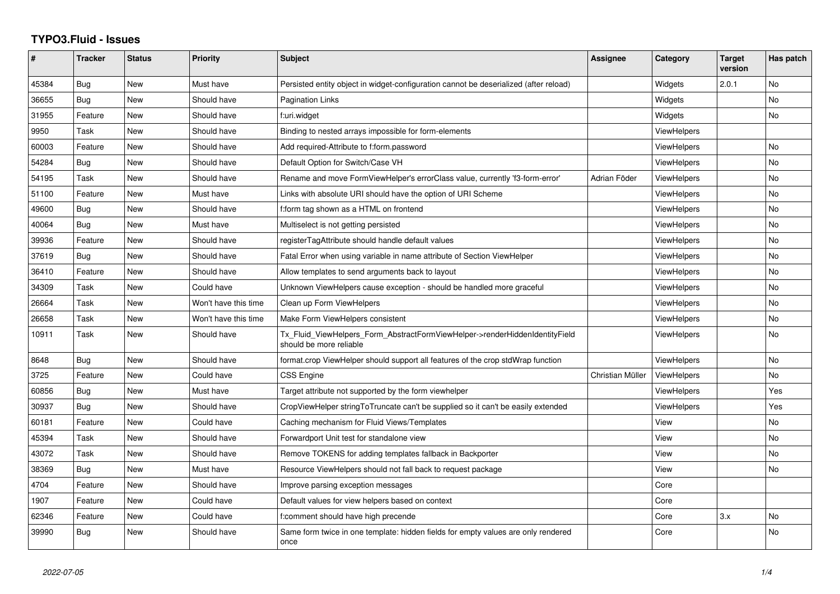## **TYPO3.Fluid - Issues**

| #     | <b>Tracker</b> | <b>Status</b> | <b>Priority</b>      | <b>Subject</b>                                                                                         | Assignee         | Category           | <b>Target</b><br>version | Has patch |
|-------|----------------|---------------|----------------------|--------------------------------------------------------------------------------------------------------|------------------|--------------------|--------------------------|-----------|
| 45384 | Bug            | <b>New</b>    | Must have            | Persisted entity object in widget-configuration cannot be deserialized (after reload)                  |                  | Widgets            | 2.0.1                    | <b>No</b> |
| 36655 | Bug            | New           | Should have          | Pagination Links                                                                                       |                  | Widgets            |                          | No.       |
| 31955 | Feature        | New           | Should have          | f:uri.widget                                                                                           |                  | Widgets            |                          | No        |
| 9950  | Task           | New           | Should have          | Binding to nested arrays impossible for form-elements                                                  |                  | ViewHelpers        |                          |           |
| 60003 | Feature        | New           | Should have          | Add required-Attribute to f:form.password                                                              |                  | <b>ViewHelpers</b> |                          | No        |
| 54284 | <b>Bug</b>     | <b>New</b>    | Should have          | Default Option for Switch/Case VH                                                                      |                  | <b>ViewHelpers</b> |                          | <b>No</b> |
| 54195 | Task           | New           | Should have          | Rename and move FormViewHelper's errorClass value, currently 'f3-form-error'                           | Adrian Föder     | ViewHelpers        |                          | <b>No</b> |
| 51100 | Feature        | New           | Must have            | Links with absolute URI should have the option of URI Scheme                                           |                  | ViewHelpers        |                          | No.       |
| 49600 | Bug            | New           | Should have          | f:form tag shown as a HTML on frontend                                                                 |                  | <b>ViewHelpers</b> |                          | No        |
| 40064 | Bug            | New           | Must have            | Multiselect is not getting persisted                                                                   |                  | ViewHelpers        |                          | No        |
| 39936 | Feature        | New           | Should have          | registerTagAttribute should handle default values                                                      |                  | <b>ViewHelpers</b> |                          | <b>No</b> |
| 37619 | <b>Bug</b>     | New           | Should have          | Fatal Error when using variable in name attribute of Section ViewHelper                                |                  | <b>ViewHelpers</b> |                          | No        |
| 36410 | Feature        | New           | Should have          | Allow templates to send arguments back to layout                                                       |                  | ViewHelpers        |                          | <b>No</b> |
| 34309 | Task           | New           | Could have           | Unknown ViewHelpers cause exception - should be handled more graceful                                  |                  | ViewHelpers        |                          | <b>No</b> |
| 26664 | Task           | New           | Won't have this time | Clean up Form ViewHelpers                                                                              |                  | <b>ViewHelpers</b> |                          | No        |
| 26658 | Task           | New           | Won't have this time | Make Form ViewHelpers consistent                                                                       |                  | ViewHelpers        |                          | <b>No</b> |
| 10911 | Task           | New           | Should have          | Tx Fluid ViewHelpers Form AbstractFormViewHelper->renderHiddenIdentityField<br>should be more reliable |                  | <b>ViewHelpers</b> |                          | No        |
| 8648  | <b>Bug</b>     | New           | Should have          | format.crop ViewHelper should support all features of the crop stdWrap function                        |                  | <b>ViewHelpers</b> |                          | No        |
| 3725  | Feature        | New           | Could have           | CSS Engine                                                                                             | Christian Müller | <b>ViewHelpers</b> |                          | No        |
| 60856 | Bug            | <b>New</b>    | Must have            | Target attribute not supported by the form viewhelper                                                  |                  | <b>ViewHelpers</b> |                          | Yes       |
| 30937 | Bug            | New           | Should have          | CropViewHelper stringToTruncate can't be supplied so it can't be easily extended                       |                  | ViewHelpers        |                          | Yes       |
| 60181 | Feature        | New           | Could have           | Caching mechanism for Fluid Views/Templates                                                            |                  | View               |                          | No.       |
| 45394 | Task           | New           | Should have          | Forwardport Unit test for standalone view                                                              |                  | View               |                          | No        |
| 43072 | Task           | New           | Should have          | Remove TOKENS for adding templates fallback in Backporter                                              |                  | View               |                          | No        |
| 38369 | Bug            | New           | Must have            | Resource ViewHelpers should not fall back to request package                                           |                  | View               |                          | No        |
| 4704  | Feature        | New           | Should have          | Improve parsing exception messages                                                                     |                  | Core               |                          |           |
| 1907  | Feature        | New           | Could have           | Default values for view helpers based on context                                                       |                  | Core               |                          |           |
| 62346 | Feature        | <b>New</b>    | Could have           | f:comment should have high precende                                                                    |                  | Core               | 3.x                      | <b>No</b> |
| 39990 | <b>Bug</b>     | New           | Should have          | Same form twice in one template: hidden fields for empty values are only rendered<br>once              |                  | Core               |                          | No        |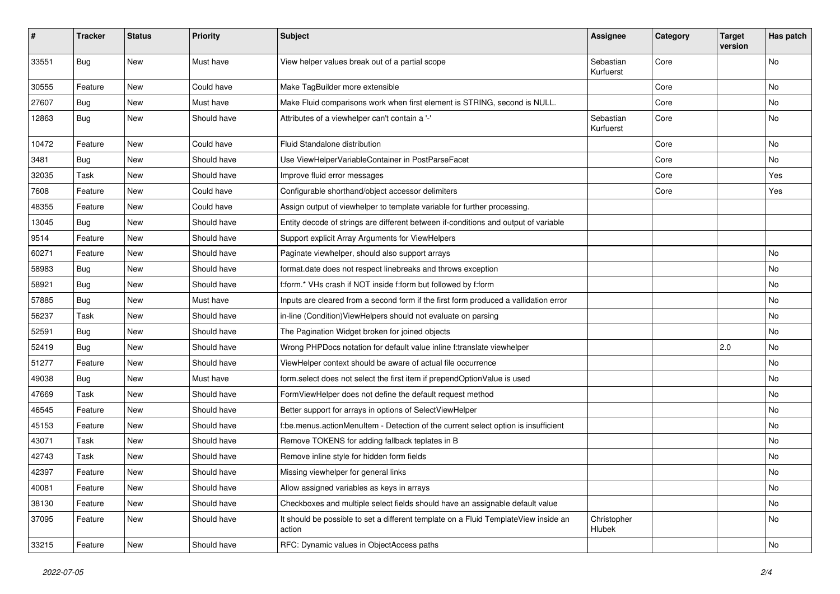| #     | <b>Tracker</b> | <b>Status</b> | <b>Priority</b> | Subject                                                                                       | <b>Assignee</b>        | Category | <b>Target</b><br>version | Has patch |
|-------|----------------|---------------|-----------------|-----------------------------------------------------------------------------------------------|------------------------|----------|--------------------------|-----------|
| 33551 | Bug            | New           | Must have       | View helper values break out of a partial scope                                               | Sebastian<br>Kurfuerst | Core     |                          | No        |
| 30555 | Feature        | New           | Could have      | Make TagBuilder more extensible                                                               |                        | Core     |                          | No        |
| 27607 | Bug            | New           | Must have       | Make Fluid comparisons work when first element is STRING, second is NULL.                     |                        | Core     |                          | No        |
| 12863 | Bug            | New           | Should have     | Attributes of a viewhelper can't contain a '-'                                                | Sebastian<br>Kurfuerst | Core     |                          | No        |
| 10472 | Feature        | New           | Could have      | Fluid Standalone distribution                                                                 |                        | Core     |                          | No        |
| 3481  | Bug            | New           | Should have     | Use ViewHelperVariableContainer in PostParseFacet                                             |                        | Core     |                          | No        |
| 32035 | Task           | New           | Should have     | Improve fluid error messages                                                                  |                        | Core     |                          | Yes       |
| 7608  | Feature        | New           | Could have      | Configurable shorthand/object accessor delimiters                                             |                        | Core     |                          | Yes       |
| 48355 | Feature        | New           | Could have      | Assign output of viewhelper to template variable for further processing.                      |                        |          |                          |           |
| 13045 | Bug            | New           | Should have     | Entity decode of strings are different between if-conditions and output of variable           |                        |          |                          |           |
| 9514  | Feature        | New           | Should have     | Support explicit Array Arguments for ViewHelpers                                              |                        |          |                          |           |
| 60271 | Feature        | <b>New</b>    | Should have     | Paginate viewhelper, should also support arrays                                               |                        |          |                          | No        |
| 58983 | Bug            | New           | Should have     | format.date does not respect linebreaks and throws exception                                  |                        |          |                          | No        |
| 58921 | Bug            | New           | Should have     | f:form.* VHs crash if NOT inside f:form but followed by f:form                                |                        |          |                          | No        |
| 57885 | Bug            | New           | Must have       | Inputs are cleared from a second form if the first form produced a vallidation error          |                        |          |                          | No        |
| 56237 | Task           | New           | Should have     | in-line (Condition) View Helpers should not evaluate on parsing                               |                        |          |                          | No        |
| 52591 | Bug            | New           | Should have     | The Pagination Widget broken for joined objects                                               |                        |          |                          | No.       |
| 52419 | Bug            | New           | Should have     | Wrong PHPDocs notation for default value inline f:translate viewhelper                        |                        |          | 2.0                      | No        |
| 51277 | Feature        | New           | Should have     | ViewHelper context should be aware of actual file occurrence                                  |                        |          |                          | No        |
| 49038 | Bug            | New           | Must have       | form.select does not select the first item if prependOptionValue is used                      |                        |          |                          | No        |
| 47669 | Task           | New           | Should have     | FormViewHelper does not define the default request method                                     |                        |          |                          | No        |
| 46545 | Feature        | New           | Should have     | Better support for arrays in options of SelectViewHelper                                      |                        |          |                          | No        |
| 45153 | Feature        | New           | Should have     | f:be.menus.actionMenuItem - Detection of the current select option is insufficient            |                        |          |                          | No        |
| 43071 | Task           | New           | Should have     | Remove TOKENS for adding fallback teplates in B                                               |                        |          |                          | No        |
| 42743 | Task           | New           | Should have     | Remove inline style for hidden form fields                                                    |                        |          |                          | No        |
| 42397 | Feature        | New           | Should have     | Missing viewhelper for general links                                                          |                        |          |                          | No        |
| 40081 | Feature        | New           | Should have     | Allow assigned variables as keys in arrays                                                    |                        |          |                          | No        |
| 38130 | Feature        | New           | Should have     | Checkboxes and multiple select fields should have an assignable default value                 |                        |          |                          | No        |
| 37095 | Feature        | New           | Should have     | It should be possible to set a different template on a Fluid TemplateView inside an<br>action | Christopher<br>Hlubek  |          |                          | No        |
| 33215 | Feature        | New           | Should have     | RFC: Dynamic values in ObjectAccess paths                                                     |                        |          |                          | No        |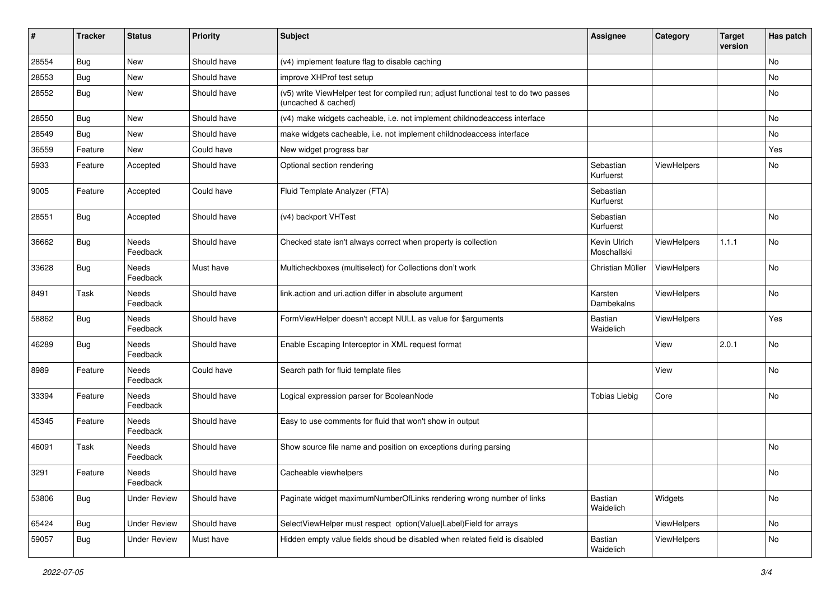| ∦     | <b>Tracker</b> | <b>Status</b>            | <b>Priority</b> | <b>Subject</b>                                                                                              | <b>Assignee</b>             | Category    | <b>Target</b><br>version | Has patch |
|-------|----------------|--------------------------|-----------------|-------------------------------------------------------------------------------------------------------------|-----------------------------|-------------|--------------------------|-----------|
| 28554 | Bug            | New                      | Should have     | (v4) implement feature flag to disable caching                                                              |                             |             |                          | No        |
| 28553 | Bug            | New                      | Should have     | improve XHProf test setup                                                                                   |                             |             |                          | No        |
| 28552 | Bug            | New                      | Should have     | (v5) write ViewHelper test for compiled run; adjust functional test to do two passes<br>(uncached & cached) |                             |             |                          | No        |
| 28550 | Bug            | New                      | Should have     | (v4) make widgets cacheable, i.e. not implement childnodeaccess interface                                   |                             |             |                          | No        |
| 28549 | <b>Bug</b>     | <b>New</b>               | Should have     | make widgets cacheable, i.e. not implement childnodeaccess interface                                        |                             |             |                          | <b>No</b> |
| 36559 | Feature        | New                      | Could have      | New widget progress bar                                                                                     |                             |             |                          | Yes       |
| 5933  | Feature        | Accepted                 | Should have     | Optional section rendering                                                                                  | Sebastian<br>Kurfuerst      | ViewHelpers |                          | No        |
| 9005  | Feature        | Accepted                 | Could have      | Fluid Template Analyzer (FTA)                                                                               | Sebastian<br>Kurfuerst      |             |                          |           |
| 28551 | <b>Bug</b>     | Accepted                 | Should have     | (v4) backport VHTest                                                                                        | Sebastian<br>Kurfuerst      |             |                          | No        |
| 36662 | Bug            | <b>Needs</b><br>Feedback | Should have     | Checked state isn't always correct when property is collection                                              | Kevin Ulrich<br>Moschallski | ViewHelpers | 1.1.1                    | No        |
| 33628 | <b>Bug</b>     | Needs<br>Feedback        | Must have       | Multicheckboxes (multiselect) for Collections don't work                                                    | Christian Müller            | ViewHelpers |                          | No        |
| 8491  | Task           | Needs<br>Feedback        | Should have     | link.action and uri.action differ in absolute argument                                                      | Karsten<br>Dambekalns       | ViewHelpers |                          | No        |
| 58862 | <b>Bug</b>     | Needs<br>Feedback        | Should have     | FormViewHelper doesn't accept NULL as value for \$arguments                                                 | Bastian<br>Waidelich        | ViewHelpers |                          | Yes       |
| 46289 | Bug            | Needs<br>Feedback        | Should have     | Enable Escaping Interceptor in XML request format                                                           |                             | View        | 2.0.1                    | No        |
| 8989  | Feature        | Needs<br>Feedback        | Could have      | Search path for fluid template files                                                                        |                             | View        |                          | <b>No</b> |
| 33394 | Feature        | <b>Needs</b><br>Feedback | Should have     | Logical expression parser for BooleanNode                                                                   | <b>Tobias Liebig</b>        | Core        |                          | No        |
| 45345 | Feature        | <b>Needs</b><br>Feedback | Should have     | Easy to use comments for fluid that won't show in output                                                    |                             |             |                          |           |
| 46091 | Task           | Needs<br>Feedback        | Should have     | Show source file name and position on exceptions during parsing                                             |                             |             |                          | <b>No</b> |
| 3291  | Feature        | Needs<br>Feedback        | Should have     | Cacheable viewhelpers                                                                                       |                             |             |                          | No        |
| 53806 | <b>Bug</b>     | <b>Under Review</b>      | Should have     | Paginate widget maximumNumberOfLinks rendering wrong number of links                                        | Bastian<br>Waidelich        | Widgets     |                          | No        |
| 65424 | <b>Bug</b>     | <b>Under Review</b>      | Should have     | SelectViewHelper must respect option(Value Label)Field for arrays                                           |                             | ViewHelpers |                          | No        |
| 59057 | <b>Bug</b>     | <b>Under Review</b>      | Must have       | Hidden empty value fields shoud be disabled when related field is disabled                                  | Bastian<br>Waidelich        | ViewHelpers |                          | No        |